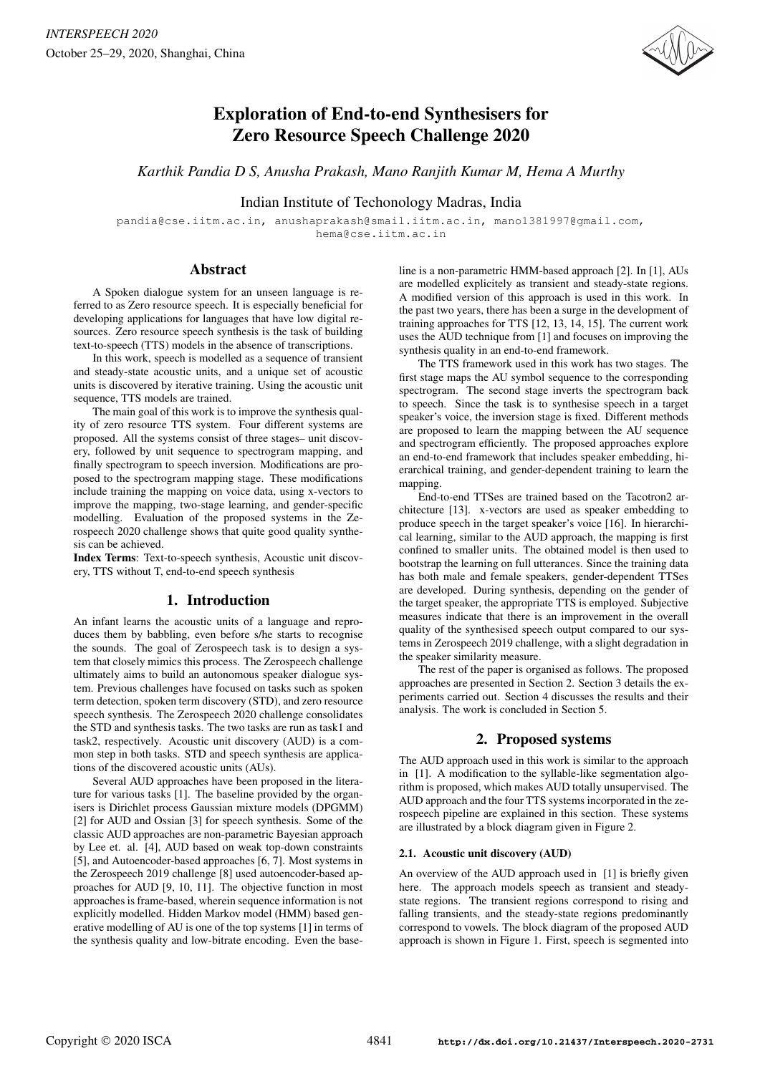

# Exploration of End-to-end Synthesisers for Zero Resource Speech Challenge 2020

*Karthik Pandia D S, Anusha Prakash, Mano Ranjith Kumar M, Hema A Murthy*

# Indian Institute of Techonology Madras, India

pandia@cse.iitm.ac.in, anushaprakash@smail.iitm.ac.in, mano1381997@gmail.com, hema@cse.iitm.ac.in

### Abstract

A Spoken dialogue system for an unseen language is referred to as Zero resource speech. It is especially beneficial for developing applications for languages that have low digital resources. Zero resource speech synthesis is the task of building text-to-speech (TTS) models in the absence of transcriptions.

In this work, speech is modelled as a sequence of transient and steady-state acoustic units, and a unique set of acoustic units is discovered by iterative training. Using the acoustic unit sequence, TTS models are trained.

The main goal of this work is to improve the synthesis quality of zero resource TTS system. Four different systems are proposed. All the systems consist of three stages– unit discovery, followed by unit sequence to spectrogram mapping, and finally spectrogram to speech inversion. Modifications are proposed to the spectrogram mapping stage. These modifications include training the mapping on voice data, using x-vectors to improve the mapping, two-stage learning, and gender-specific modelling. Evaluation of the proposed systems in the Zerospeech 2020 challenge shows that quite good quality synthesis can be achieved.

Index Terms: Text-to-speech synthesis, Acoustic unit discovery, TTS without T, end-to-end speech synthesis

# 1. Introduction

An infant learns the acoustic units of a language and reproduces them by babbling, even before s/he starts to recognise the sounds. The goal of Zerospeech task is to design a system that closely mimics this process. The Zerospeech challenge ultimately aims to build an autonomous speaker dialogue system. Previous challenges have focused on tasks such as spoken term detection, spoken term discovery (STD), and zero resource speech synthesis. The Zerospeech 2020 challenge consolidates the STD and synthesis tasks. The two tasks are run as task1 and task2, respectively. Acoustic unit discovery (AUD) is a common step in both tasks. STD and speech synthesis are applications of the discovered acoustic units (AUs).

Several AUD approaches have been proposed in the literature for various tasks [1]. The baseline provided by the organisers is Dirichlet process Gaussian mixture models (DPGMM) [2] for AUD and Ossian [3] for speech synthesis. Some of the classic AUD approaches are non-parametric Bayesian approach by Lee et. al. [4], AUD based on weak top-down constraints [5], and Autoencoder-based approaches [6, 7]. Most systems in the Zerospeech 2019 challenge [8] used autoencoder-based approaches for AUD [9, 10, 11]. The objective function in most approaches is frame-based, wherein sequence information is not explicitly modelled. Hidden Markov model (HMM) based generative modelling of AU is one of the top systems [1] in terms of the synthesis quality and low-bitrate encoding. Even the base-

line is a non-parametric HMM-based approach [2]. In [1], AUs are modelled explicitely as transient and steady-state regions. A modified version of this approach is used in this work. In the past two years, there has been a surge in the development of training approaches for TTS [12, 13, 14, 15]. The current work uses the AUD technique from [1] and focuses on improving the synthesis quality in an end-to-end framework.

The TTS framework used in this work has two stages. The first stage maps the AU symbol sequence to the corresponding spectrogram. The second stage inverts the spectrogram back to speech. Since the task is to synthesise speech in a target speaker's voice, the inversion stage is fixed. Different methods are proposed to learn the mapping between the AU sequence and spectrogram efficiently. The proposed approaches explore an end-to-end framework that includes speaker embedding, hierarchical training, and gender-dependent training to learn the mapping.

End-to-end TTSes are trained based on the Tacotron2 architecture [13]. x-vectors are used as speaker embedding to produce speech in the target speaker's voice [16]. In hierarchical learning, similar to the AUD approach, the mapping is first confined to smaller units. The obtained model is then used to bootstrap the learning on full utterances. Since the training data has both male and female speakers, gender-dependent TTSes are developed. During synthesis, depending on the gender of the target speaker, the appropriate TTS is employed. Subjective measures indicate that there is an improvement in the overall quality of the synthesised speech output compared to our systems in Zerospeech 2019 challenge, with a slight degradation in the speaker similarity measure.

The rest of the paper is organised as follows. The proposed approaches are presented in Section 2. Section 3 details the experiments carried out. Section 4 discusses the results and their analysis. The work is concluded in Section 5.

# 2. Proposed systems

The AUD approach used in this work is similar to the approach in [1]. A modification to the syllable-like segmentation algorithm is proposed, which makes AUD totally unsupervised. The AUD approach and the four TTS systems incorporated in the zerospeech pipeline are explained in this section. These systems are illustrated by a block diagram given in Figure 2.

### 2.1. Acoustic unit discovery (AUD)

An overview of the AUD approach used in [1] is briefly given here. The approach models speech as transient and steadystate regions. The transient regions correspond to rising and falling transients, and the steady-state regions predominantly correspond to vowels. The block diagram of the proposed AUD approach is shown in Figure 1. First, speech is segmented into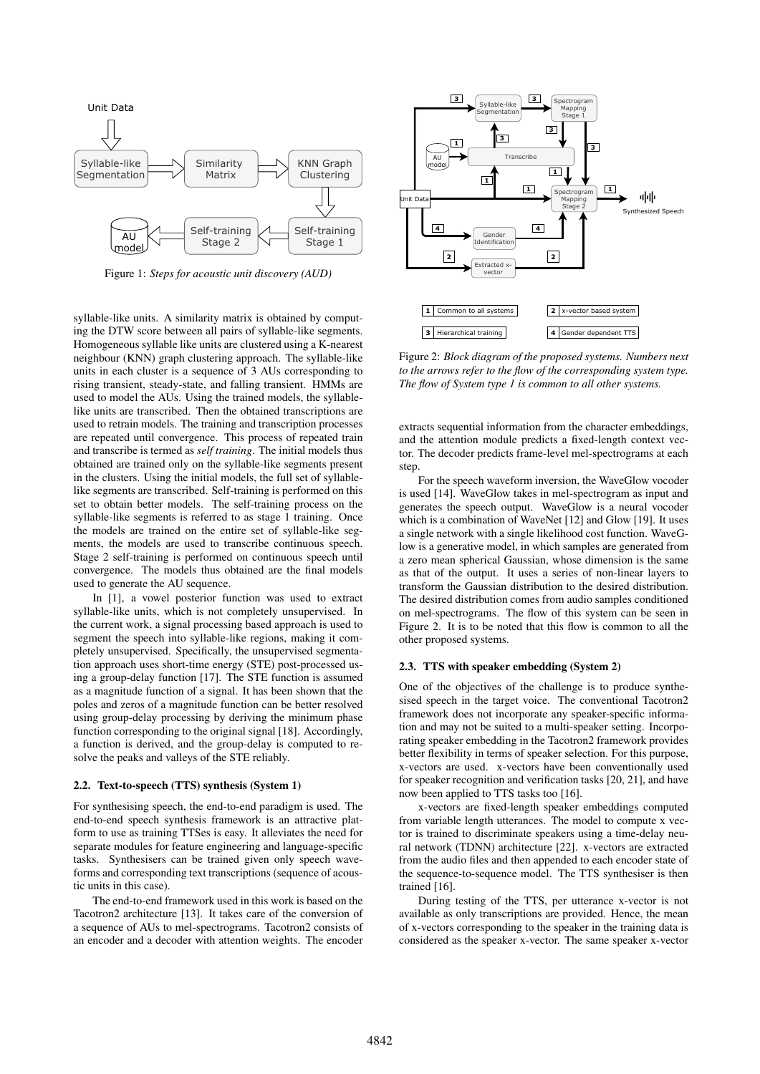

Figure 1: *Steps for acoustic unit discovery (AUD)*

syllable-like units. A similarity matrix is obtained by computing the DTW score between all pairs of syllable-like segments. Homogeneous syllable like units are clustered using a K-nearest neighbour (KNN) graph clustering approach. The syllable-like units in each cluster is a sequence of 3 AUs corresponding to rising transient, steady-state, and falling transient. HMMs are used to model the AUs. Using the trained models, the syllablelike units are transcribed. Then the obtained transcriptions are used to retrain models. The training and transcription processes are repeated until convergence. This process of repeated train and transcribe is termed as *self training*. The initial models thus obtained are trained only on the syllable-like segments present in the clusters. Using the initial models, the full set of syllablelike segments are transcribed. Self-training is performed on this set to obtain better models. The self-training process on the syllable-like segments is referred to as stage 1 training. Once the models are trained on the entire set of syllable-like segments, the models are used to transcribe continuous speech. Stage 2 self-training is performed on continuous speech until convergence. The models thus obtained are the final models used to generate the AU sequence.

In [1], a vowel posterior function was used to extract syllable-like units, which is not completely unsupervised. In the current work, a signal processing based approach is used to segment the speech into syllable-like regions, making it completely unsupervised. Specifically, the unsupervised segmentation approach uses short-time energy (STE) post-processed using a group-delay function [17]. The STE function is assumed as a magnitude function of a signal. It has been shown that the poles and zeros of a magnitude function can be better resolved using group-delay processing by deriving the minimum phase function corresponding to the original signal [18]. Accordingly, a function is derived, and the group-delay is computed to resolve the peaks and valleys of the STE reliably.

#### 2.2. Text-to-speech (TTS) synthesis (System 1)

For synthesising speech, the end-to-end paradigm is used. The end-to-end speech synthesis framework is an attractive platform to use as training TTSes is easy. It alleviates the need for separate modules for feature engineering and language-specific tasks. Synthesisers can be trained given only speech waveforms and corresponding text transcriptions (sequence of acoustic units in this case).

The end-to-end framework used in this work is based on the Tacotron2 architecture [13]. It takes care of the conversion of a sequence of AUs to mel-spectrograms. Tacotron2 consists of an encoder and a decoder with attention weights. The encoder



Figure 2: *Block diagram of the proposed systems. Numbers next to the arrows refer to the flow of the corresponding system type. The flow of System type 1 is common to all other systems.*

extracts sequential information from the character embeddings, and the attention module predicts a fixed-length context vector. The decoder predicts frame-level mel-spectrograms at each step.

For the speech waveform inversion, the WaveGlow vocoder is used [14]. WaveGlow takes in mel-spectrogram as input and generates the speech output. WaveGlow is a neural vocoder which is a combination of WaveNet [12] and Glow [19]. It uses a single network with a single likelihood cost function. WaveGlow is a generative model, in which samples are generated from a zero mean spherical Gaussian, whose dimension is the same as that of the output. It uses a series of non-linear layers to transform the Gaussian distribution to the desired distribution. The desired distribution comes from audio samples conditioned on mel-spectrograms. The flow of this system can be seen in Figure 2. It is to be noted that this flow is common to all the other proposed systems.

#### 2.3. TTS with speaker embedding (System 2)

One of the objectives of the challenge is to produce synthesised speech in the target voice. The conventional Tacotron2 framework does not incorporate any speaker-specific information and may not be suited to a multi-speaker setting. Incorporating speaker embedding in the Tacotron2 framework provides better flexibility in terms of speaker selection. For this purpose, x-vectors are used. x-vectors have been conventionally used for speaker recognition and verification tasks [20, 21], and have now been applied to TTS tasks too [16].

x-vectors are fixed-length speaker embeddings computed from variable length utterances. The model to compute x vector is trained to discriminate speakers using a time-delay neural network (TDNN) architecture [22]. x-vectors are extracted from the audio files and then appended to each encoder state of the sequence-to-sequence model. The TTS synthesiser is then trained [16].

During testing of the TTS, per utterance x-vector is not available as only transcriptions are provided. Hence, the mean of x-vectors corresponding to the speaker in the training data is considered as the speaker x-vector. The same speaker x-vector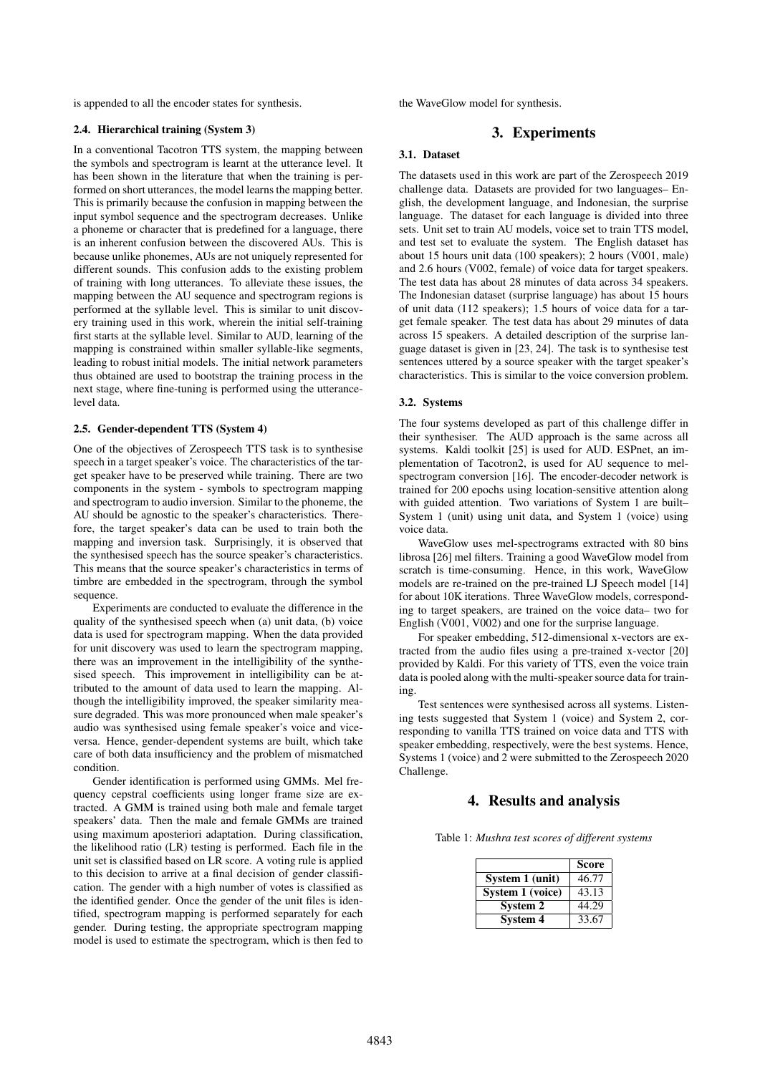is appended to all the encoder states for synthesis.

#### 2.4. Hierarchical training (System 3)

In a conventional Tacotron TTS system, the mapping between the symbols and spectrogram is learnt at the utterance level. It has been shown in the literature that when the training is performed on short utterances, the model learns the mapping better. This is primarily because the confusion in mapping between the input symbol sequence and the spectrogram decreases. Unlike a phoneme or character that is predefined for a language, there is an inherent confusion between the discovered AUs. This is because unlike phonemes, AUs are not uniquely represented for different sounds. This confusion adds to the existing problem of training with long utterances. To alleviate these issues, the mapping between the AU sequence and spectrogram regions is performed at the syllable level. This is similar to unit discovery training used in this work, wherein the initial self-training first starts at the syllable level. Similar to AUD, learning of the mapping is constrained within smaller syllable-like segments, leading to robust initial models. The initial network parameters thus obtained are used to bootstrap the training process in the next stage, where fine-tuning is performed using the utterancelevel data.

#### 2.5. Gender-dependent TTS (System 4)

One of the objectives of Zerospeech TTS task is to synthesise speech in a target speaker's voice. The characteristics of the target speaker have to be preserved while training. There are two components in the system - symbols to spectrogram mapping and spectrogram to audio inversion. Similar to the phoneme, the AU should be agnostic to the speaker's characteristics. Therefore, the target speaker's data can be used to train both the mapping and inversion task. Surprisingly, it is observed that the synthesised speech has the source speaker's characteristics. This means that the source speaker's characteristics in terms of timbre are embedded in the spectrogram, through the symbol sequence.

Experiments are conducted to evaluate the difference in the quality of the synthesised speech when (a) unit data, (b) voice data is used for spectrogram mapping. When the data provided for unit discovery was used to learn the spectrogram mapping, there was an improvement in the intelligibility of the synthesised speech. This improvement in intelligibility can be attributed to the amount of data used to learn the mapping. Although the intelligibility improved, the speaker similarity measure degraded. This was more pronounced when male speaker's audio was synthesised using female speaker's voice and viceversa. Hence, gender-dependent systems are built, which take care of both data insufficiency and the problem of mismatched condition.

Gender identification is performed using GMMs. Mel frequency cepstral coefficients using longer frame size are extracted. A GMM is trained using both male and female target speakers' data. Then the male and female GMMs are trained using maximum aposteriori adaptation. During classification, the likelihood ratio (LR) testing is performed. Each file in the unit set is classified based on LR score. A voting rule is applied to this decision to arrive at a final decision of gender classification. The gender with a high number of votes is classified as the identified gender. Once the gender of the unit files is identified, spectrogram mapping is performed separately for each gender. During testing, the appropriate spectrogram mapping model is used to estimate the spectrogram, which is then fed to the WaveGlow model for synthesis.

# 3. Experiments

## 3.1. Dataset

The datasets used in this work are part of the Zerospeech 2019 challenge data. Datasets are provided for two languages– English, the development language, and Indonesian, the surprise language. The dataset for each language is divided into three sets. Unit set to train AU models, voice set to train TTS model, and test set to evaluate the system. The English dataset has about 15 hours unit data (100 speakers); 2 hours (V001, male) and 2.6 hours (V002, female) of voice data for target speakers. The test data has about 28 minutes of data across 34 speakers. The Indonesian dataset (surprise language) has about 15 hours of unit data (112 speakers); 1.5 hours of voice data for a target female speaker. The test data has about 29 minutes of data across 15 speakers. A detailed description of the surprise language dataset is given in [23, 24]. The task is to synthesise test sentences uttered by a source speaker with the target speaker's characteristics. This is similar to the voice conversion problem.

#### 3.2. Systems

The four systems developed as part of this challenge differ in their synthesiser. The AUD approach is the same across all systems. Kaldi toolkit [25] is used for AUD. ESPnet, an implementation of Tacotron2, is used for AU sequence to melspectrogram conversion [16]. The encoder-decoder network is trained for 200 epochs using location-sensitive attention along with guided attention. Two variations of System 1 are built– System 1 (unit) using unit data, and System 1 (voice) using voice data.

WaveGlow uses mel-spectrograms extracted with 80 bins librosa [26] mel filters. Training a good WaveGlow model from scratch is time-consuming. Hence, in this work, WaveGlow models are re-trained on the pre-trained LJ Speech model [14] for about 10K iterations. Three WaveGlow models, corresponding to target speakers, are trained on the voice data– two for English (V001, V002) and one for the surprise language.

For speaker embedding, 512-dimensional x-vectors are extracted from the audio files using a pre-trained x-vector [20] provided by Kaldi. For this variety of TTS, even the voice train data is pooled along with the multi-speaker source data for training.

Test sentences were synthesised across all systems. Listening tests suggested that System 1 (voice) and System 2, corresponding to vanilla TTS trained on voice data and TTS with speaker embedding, respectively, were the best systems. Hence, Systems 1 (voice) and 2 were submitted to the Zerospeech 2020 Challenge.

### 4. Results and analysis

Table 1: *Mushra test scores of different systems*

|                  | <b>Score</b> |
|------------------|--------------|
| System 1 (unit)  | 46.77        |
| System 1 (voice) | 43.13        |
| System 2         | 44.29        |
| System 4         | 33.67        |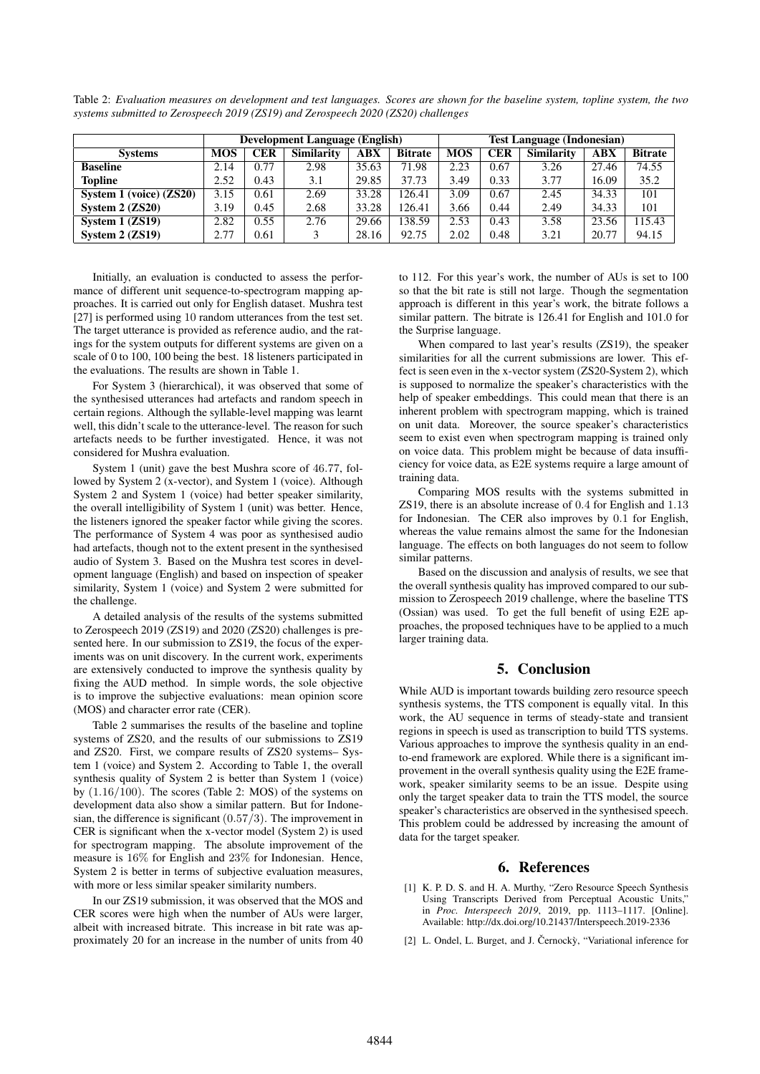|  | Table 2: Evaluation measures on development and test languages. Scores are shown for the baseline system, topline system, the two |  |  |  |  |  |
|--|-----------------------------------------------------------------------------------------------------------------------------------|--|--|--|--|--|
|  | systems submitted to Zerospeech 2019 (ZS19) and Zerospeech 2020 (ZS20) challenges                                                 |  |  |  |  |  |

|                         | <b>Development Language (English)</b> |            |                   |       |                |            | <b>Test Language (Indonesian)</b> |                   |            |                |  |  |
|-------------------------|---------------------------------------|------------|-------------------|-------|----------------|------------|-----------------------------------|-------------------|------------|----------------|--|--|
| <b>Systems</b>          | <b>MOS</b>                            | <b>CER</b> | <b>Similarity</b> | ABX   | <b>Bitrate</b> | <b>MOS</b> | <b>CER</b>                        | <b>Similarity</b> | $\bf{ABX}$ | <b>Bitrate</b> |  |  |
| <b>Baseline</b>         | 2.14                                  | 0.77       | 2.98              | 35.63 | 71.98          | 2.23       | 0.67                              | 3.26              | 27.46      | 74.55          |  |  |
| <b>Topline</b>          | 2.52                                  | 0.43       | 3.1               | 29.85 | 37.73          | 3.49       | 0.33                              | 3.77              | 16.09      | 35.2           |  |  |
| System 1 (voice) (ZS20) | 3.15                                  | 0.61       | 2.69              | 33.28 | 126.41         | 3.09       | 0.67                              | 2.45              | 34.33      | 101            |  |  |
| System $2 (ZS20)$       | 3.19                                  | 0.45       | 2.68              | 33.28 | 126.41         | 3.66       | 0.44                              | 2.49              | 34.33      | 101            |  |  |
| System $1 (ZS19)$       | 2.82                                  | 0.55       | 2.76              | 29.66 | 138.59         | 2.53       | 0.43                              | 3.58              | 23.56      | 115.43         |  |  |
| System $2$ (ZS19)       | 2.77                                  | 0.61       |                   | 28.16 | 92.75          | 2.02       | 0.48                              | 3.21              | 20.77      | 94.15          |  |  |

Initially, an evaluation is conducted to assess the performance of different unit sequence-to-spectrogram mapping approaches. It is carried out only for English dataset. Mushra test [27] is performed using 10 random utterances from the test set. The target utterance is provided as reference audio, and the ratings for the system outputs for different systems are given on a scale of 0 to 100, 100 being the best. 18 listeners participated in the evaluations. The results are shown in Table 1.

For System 3 (hierarchical), it was observed that some of the synthesised utterances had artefacts and random speech in certain regions. Although the syllable-level mapping was learnt well, this didn't scale to the utterance-level. The reason for such artefacts needs to be further investigated. Hence, it was not considered for Mushra evaluation.

System 1 (unit) gave the best Mushra score of 46.77, followed by System 2 (x-vector), and System 1 (voice). Although System 2 and System 1 (voice) had better speaker similarity, the overall intelligibility of System 1 (unit) was better. Hence, the listeners ignored the speaker factor while giving the scores. The performance of System 4 was poor as synthesised audio had artefacts, though not to the extent present in the synthesised audio of System 3. Based on the Mushra test scores in development language (English) and based on inspection of speaker similarity, System 1 (voice) and System 2 were submitted for the challenge.

A detailed analysis of the results of the systems submitted to Zerospeech 2019 (ZS19) and 2020 (ZS20) challenges is presented here. In our submission to ZS19, the focus of the experiments was on unit discovery. In the current work, experiments are extensively conducted to improve the synthesis quality by fixing the AUD method. In simple words, the sole objective is to improve the subjective evaluations: mean opinion score (MOS) and character error rate (CER).

Table 2 summarises the results of the baseline and topline systems of ZS20, and the results of our submissions to ZS19 and ZS20. First, we compare results of ZS20 systems– System 1 (voice) and System 2. According to Table 1, the overall synthesis quality of System 2 is better than System 1 (voice) by (1.16/100). The scores (Table 2: MOS) of the systems on development data also show a similar pattern. But for Indonesian, the difference is significant (0.57/3). The improvement in CER is significant when the x-vector model (System 2) is used for spectrogram mapping. The absolute improvement of the measure is 16% for English and 23% for Indonesian. Hence, System 2 is better in terms of subjective evaluation measures, with more or less similar speaker similarity numbers.

In our ZS19 submission, it was observed that the MOS and CER scores were high when the number of AUs were larger, albeit with increased bitrate. This increase in bit rate was approximately 20 for an increase in the number of units from 40 to 112. For this year's work, the number of AUs is set to 100 so that the bit rate is still not large. Though the segmentation approach is different in this year's work, the bitrate follows a similar pattern. The bitrate is 126.41 for English and 101.0 for the Surprise language.

When compared to last year's results (ZS19), the speaker similarities for all the current submissions are lower. This effect is seen even in the x-vector system (ZS20-System 2), which is supposed to normalize the speaker's characteristics with the help of speaker embeddings. This could mean that there is an inherent problem with spectrogram mapping, which is trained on unit data. Moreover, the source speaker's characteristics seem to exist even when spectrogram mapping is trained only on voice data. This problem might be because of data insufficiency for voice data, as E2E systems require a large amount of training data.

Comparing MOS results with the systems submitted in ZS19, there is an absolute increase of 0.4 for English and 1.13 for Indonesian. The CER also improves by 0.1 for English, whereas the value remains almost the same for the Indonesian language. The effects on both languages do not seem to follow similar patterns.

Based on the discussion and analysis of results, we see that the overall synthesis quality has improved compared to our submission to Zerospeech 2019 challenge, where the baseline TTS (Ossian) was used. To get the full benefit of using E2E approaches, the proposed techniques have to be applied to a much larger training data.

# 5. Conclusion

While AUD is important towards building zero resource speech synthesis systems, the TTS component is equally vital. In this work, the AU sequence in terms of steady-state and transient regions in speech is used as transcription to build TTS systems. Various approaches to improve the synthesis quality in an endto-end framework are explored. While there is a significant improvement in the overall synthesis quality using the E2E framework, speaker similarity seems to be an issue. Despite using only the target speaker data to train the TTS model, the source speaker's characteristics are observed in the synthesised speech. This problem could be addressed by increasing the amount of data for the target speaker.

### 6. References

- [1] K. P. D. S. and H. A. Murthy, "Zero Resource Speech Synthesis Using Transcripts Derived from Perceptual Acoustic Units," in *Proc. Interspeech 2019*, 2019, pp. 1113–1117. [Online]. Available: http://dx.doi.org/10.21437/Interspeech.2019-2336
- [2] L. Ondel, L. Burget, and J. Černocky, "Variational inference for